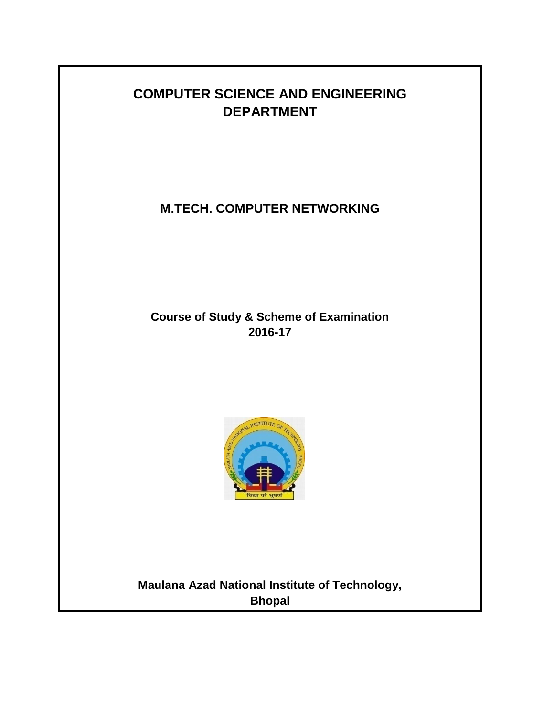# **COMPUTER SCIENCE AND ENGINEERING DEPARTMENT**

# **M.TECH. COMPUTER NETWORKING**

## **Course of Study & Scheme of Examination 2016-17**



**Maulana Azad National Institute of Technology, Bhopal**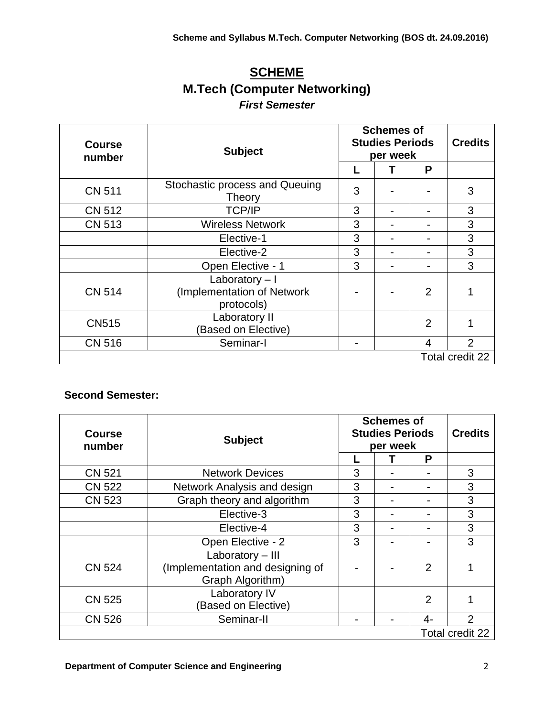# **SCHEME M.Tech (Computer Networking)** *First Semester*

| <b>Course</b><br>number | <b>Subject</b>                                             | <b>Schemes of</b><br><b>Studies Periods</b><br>per week |   |                | <b>Credits</b>  |
|-------------------------|------------------------------------------------------------|---------------------------------------------------------|---|----------------|-----------------|
|                         |                                                            |                                                         | т | P              |                 |
| <b>CN 511</b>           | Stochastic process and Queuing<br><b>Theory</b>            | 3                                                       |   |                | 3               |
| <b>CN 512</b>           | <b>TCP/IP</b>                                              | 3                                                       |   |                | 3               |
| <b>CN 513</b>           | <b>Wireless Network</b>                                    | 3                                                       |   |                | 3               |
|                         | Elective-1                                                 | 3                                                       |   |                | 3               |
|                         | Elective-2                                                 |                                                         |   |                | 3               |
|                         | Open Elective - 1                                          | 3                                                       |   |                | 3               |
| <b>CN 514</b>           | Laboratory - I<br>(Implementation of Network<br>protocols) |                                                         |   | $\overline{2}$ |                 |
| <b>CN515</b>            | Laboratory II<br>(Based on Elective)                       |                                                         |   | $\overline{2}$ |                 |
| <b>CN 516</b>           | Seminar-I                                                  |                                                         |   | 4              | $\overline{2}$  |
|                         |                                                            |                                                         |   |                | Total credit 22 |

### **Second Semester:**

| <b>Course</b><br>number | <b>Subject</b>                                                           | <b>Schemes of</b><br><b>Studies Periods</b><br>per week |  |                | <b>Credits</b>  |
|-------------------------|--------------------------------------------------------------------------|---------------------------------------------------------|--|----------------|-----------------|
|                         |                                                                          |                                                         |  | P              |                 |
| <b>CN 521</b>           | <b>Network Devices</b>                                                   | 3                                                       |  |                | 3               |
| <b>CN 522</b>           | Network Analysis and design                                              | 3                                                       |  | -              | 3               |
| <b>CN 523</b>           | Graph theory and algorithm                                               | 3                                                       |  |                | 3               |
|                         | Elective-3                                                               | 3                                                       |  |                | 3               |
|                         | Elective-4                                                               | 3                                                       |  |                | 3               |
|                         | Open Elective - 2                                                        | 3                                                       |  | -              | 3               |
| <b>CN 524</b>           | Laboratory - III<br>(Implementation and designing of<br>Graph Algorithm) |                                                         |  | $\overline{2}$ |                 |
| <b>CN 525</b>           | Laboratory IV<br><b>Based on Elective)</b>                               |                                                         |  | $\overline{2}$ |                 |
| <b>CN 526</b>           | Seminar-II                                                               |                                                         |  | 4-             | $\overline{2}$  |
|                         |                                                                          |                                                         |  |                | Total credit 22 |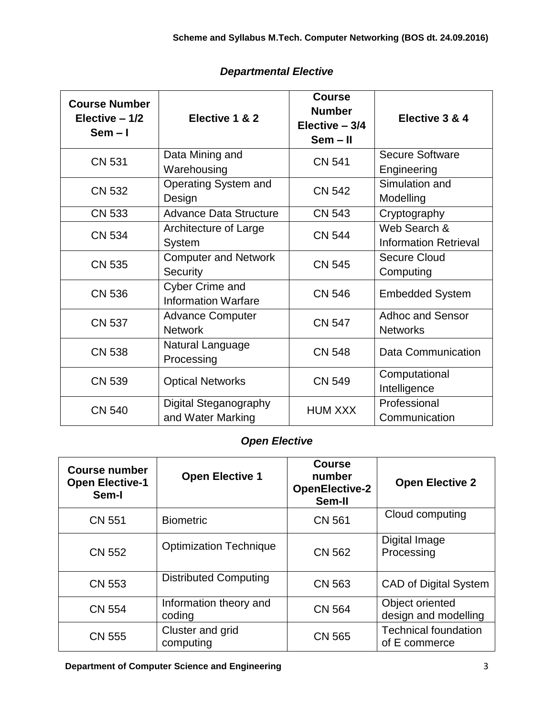| <b>Course Number</b><br>Elective $-1/2$<br>$Sem - I$ | Elective 1 & 2                                       | <b>Course</b><br><b>Number</b><br>Elective $-3/4$<br>$Sem - II$ | Elective 3 & 4                               |  |
|------------------------------------------------------|------------------------------------------------------|-----------------------------------------------------------------|----------------------------------------------|--|
| <b>CN 531</b>                                        | Data Mining and<br>Warehousing                       | <b>CN 541</b>                                                   | <b>Secure Software</b><br>Engineering        |  |
| <b>CN 532</b>                                        | Operating System and<br>Design                       | <b>CN 542</b>                                                   | Simulation and<br>Modelling                  |  |
| <b>CN 533</b>                                        | <b>Advance Data Structure</b>                        | <b>CN 543</b>                                                   | Cryptography                                 |  |
| <b>CN 534</b>                                        | Architecture of Large<br><b>System</b>               | <b>CN 544</b>                                                   | Web Search &<br><b>Information Retrieval</b> |  |
| <b>CN 535</b>                                        | <b>Computer and Network</b><br>Security              | <b>CN 545</b>                                                   | <b>Secure Cloud</b><br>Computing             |  |
| <b>CN 536</b>                                        | <b>Cyber Crime and</b><br><b>Information Warfare</b> | <b>CN 546</b>                                                   | <b>Embedded System</b>                       |  |
| <b>CN 537</b>                                        | <b>Advance Computer</b><br><b>Network</b>            | <b>CN 547</b>                                                   | <b>Adhoc and Sensor</b><br><b>Networks</b>   |  |
| <b>CN 538</b>                                        | Natural Language<br>Processing                       | <b>CN 548</b>                                                   | Data Communication                           |  |
| <b>CN 539</b>                                        | <b>Optical Networks</b>                              | <b>CN 549</b>                                                   | Computational<br>Intelligence                |  |
| <b>CN 540</b>                                        | Digital Steganography<br>and Water Marking           | <b>HUM XXX</b>                                                  | Professional<br>Communication                |  |

### *Departmental Elective*

### *Open Elective*

| <b>Course number</b><br><b>Open Elective-1</b><br>Sem-I | <b>Open Elective 1</b>           | <b>Course</b><br>number<br><b>OpenElective-2</b><br>Sem-II | <b>Open Elective 2</b>                       |
|---------------------------------------------------------|----------------------------------|------------------------------------------------------------|----------------------------------------------|
| <b>CN 551</b>                                           | <b>Biometric</b>                 | <b>CN 561</b>                                              | Cloud computing                              |
| <b>CN 552</b>                                           | <b>Optimization Technique</b>    | <b>CN 562</b>                                              | Digital Image<br>Processing                  |
| <b>CN 553</b>                                           | <b>Distributed Computing</b>     | <b>CN 563</b>                                              | <b>CAD of Digital System</b>                 |
| <b>CN 554</b>                                           | Information theory and<br>coding | <b>CN 564</b>                                              | Object oriented<br>design and modelling      |
| <b>CN 555</b>                                           | Cluster and grid<br>computing    | <b>CN 565</b>                                              | <b>Technical foundation</b><br>of E commerce |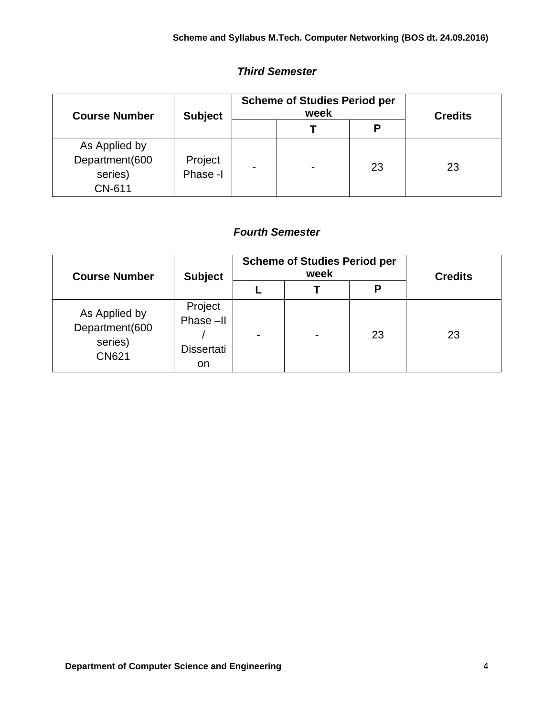### *Third Semester*

| <b>Course Number</b>                                 | <b>Subject</b>      | <b>Scheme of Studies Period per</b><br>week |  |    | <b>Credits</b> |
|------------------------------------------------------|---------------------|---------------------------------------------|--|----|----------------|
|                                                      |                     |                                             |  | P  |                |
| As Applied by<br>Department(600<br>series)<br>CN-611 | Project<br>Phase -I |                                             |  | 23 | 23             |

### *Fourth Semester*

| <b>Course Number</b>                                       | <b>Subject</b>                                 | <b>Scheme of Studies Period per</b><br>week |  |    | <b>Credits</b> |
|------------------------------------------------------------|------------------------------------------------|---------------------------------------------|--|----|----------------|
|                                                            |                                                |                                             |  | P  |                |
| As Applied by<br>Department(600<br>series)<br><b>CN621</b> | Project<br>Phase-II<br><b>Dissertati</b><br>on | $\overline{\phantom{0}}$                    |  | 23 | 23             |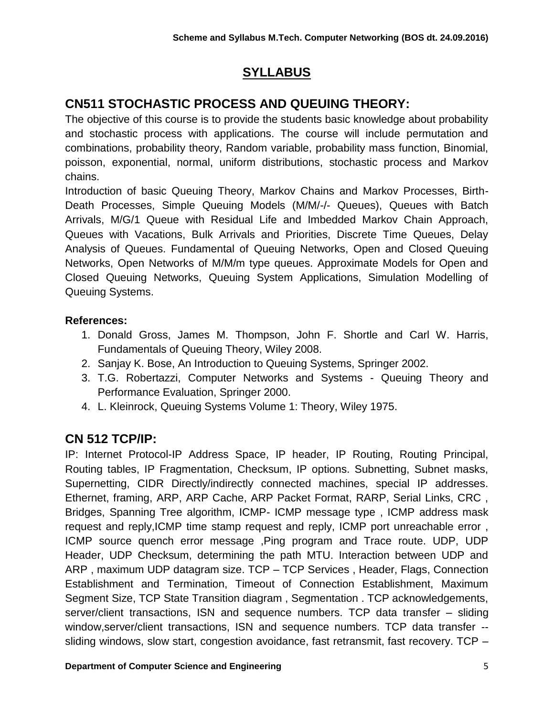# **SYLLABUS**

# **CN511 STOCHASTIC PROCESS AND QUEUING THEORY:**

The objective of this course is to provide the students basic knowledge about probability and stochastic process with applications. The course will include permutation and combinations, probability theory, Random variable, probability mass function, Binomial, poisson, exponential, normal, uniform distributions, stochastic process and Markov chains.

Introduction of basic Queuing Theory, Markov Chains and Markov Processes, Birth-Death Processes, Simple Queuing Models (M/M/-/- Queues), Queues with Batch Arrivals, M/G/1 Queue with Residual Life and Imbedded Markov Chain Approach, Queues with Vacations, Bulk Arrivals and Priorities, Discrete Time Queues, Delay Analysis of Queues. Fundamental of Queuing Networks, Open and Closed Queuing Networks, Open Networks of M/M/m type queues. Approximate Models for Open and Closed Queuing Networks, Queuing System Applications, Simulation Modelling of Queuing Systems.

### **References:**

- 1. Donald Gross, James M. Thompson, John F. Shortle and Carl W. Harris, Fundamentals of Queuing Theory, Wiley 2008.
- 2. Sanjay K. Bose, An Introduction to Queuing Systems, Springer 2002.
- 3. T.G. Robertazzi, Computer Networks and Systems Queuing Theory and Performance Evaluation, Springer 2000.
- 4. L. Kleinrock, Queuing Systems Volume 1: Theory, Wiley 1975.

# **CN 512 TCP/IP:**

IP: Internet Protocol-IP Address Space, IP header, IP Routing, Routing Principal, Routing tables, IP Fragmentation, Checksum, IP options. Subnetting, Subnet masks, Supernetting, CIDR Directly/indirectly connected machines, special IP addresses. Ethernet, framing, ARP, ARP Cache, ARP Packet Format, RARP, Serial Links, CRC , Bridges, Spanning Tree algorithm, ICMP- ICMP message type , ICMP address mask request and reply,ICMP time stamp request and reply, ICMP port unreachable error , ICMP source quench error message ,Ping program and Trace route. UDP, UDP Header, UDP Checksum, determining the path MTU. Interaction between UDP and ARP , maximum UDP datagram size. TCP – TCP Services , Header, Flags, Connection Establishment and Termination, Timeout of Connection Establishment, Maximum Segment Size, TCP State Transition diagram , Segmentation . TCP acknowledgements, server/client transactions, ISN and sequence numbers. TCP data transfer – sliding window, server/client transactions, ISN and sequence numbers. TCP data transfer -sliding windows, slow start, congestion avoidance, fast retransmit, fast recovery. TCP –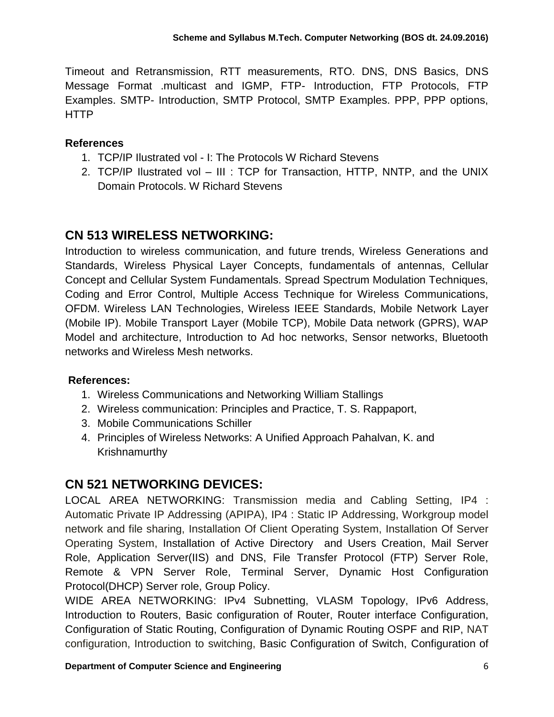Timeout and Retransmission, RTT measurements, RTO. DNS, DNS Basics, DNS Message Format .multicast and IGMP, FTP- Introduction, FTP Protocols, FTP Examples. SMTP- Introduction, SMTP Protocol, SMTP Examples. PPP, PPP options, HTTP

### **References**

- 1. TCP/IP Ilustrated vol I: The Protocols W Richard Stevens
- 2. TCP/IP Ilustrated vol III : TCP for Transaction, HTTP, NNTP, and the UNIX Domain Protocols. W Richard Stevens

## **CN 513 WIRELESS NETWORKING:**

Introduction to wireless communication, and future trends, Wireless Generations and Standards, Wireless Physical Layer Concepts, fundamentals of antennas, Cellular Concept and Cellular System Fundamentals. Spread Spectrum Modulation Techniques, Coding and Error Control, Multiple Access Technique for Wireless Communications, OFDM. Wireless LAN Technologies, Wireless IEEE Standards, Mobile Network Layer (Mobile IP). Mobile Transport Layer (Mobile TCP), Mobile Data network (GPRS), WAP Model and architecture, Introduction to Ad hoc networks, Sensor networks, Bluetooth networks and Wireless Mesh networks.

#### **References:**

- 1. Wireless Communications and Networking William Stallings
- 2. Wireless communication: Principles and Practice, T. S. Rappaport,
- 3. Mobile Communications Schiller
- 4. Principles of Wireless Networks: A Unified Approach Pahalvan, K. and Krishnamurthy

## **CN 521 NETWORKING DEVICES:**

LOCAL AREA NETWORKING: Transmission media and Cabling Setting, IP4 : Automatic Private IP Addressing (APIPA), IP4 : Static IP Addressing, Workgroup model network and file sharing, Installation Of Client Operating System, Installation Of Server Operating System, Installation of Active Directory and Users Creation, Mail Server Role, Application Server(IIS) and DNS, File Transfer Protocol (FTP) Server Role, Remote & VPN Server Role, Terminal Server, Dynamic Host Configuration Protocol(DHCP) Server role, Group Policy.

WIDE AREA NETWORKING: IPv4 Subnetting, VLASM Topology, IPv6 Address, Introduction to Routers, Basic configuration of Router, Router interface Configuration, Configuration of Static Routing, Configuration of Dynamic Routing OSPF and RIP, NAT configuration, Introduction to switching, Basic Configuration of Switch, Configuration of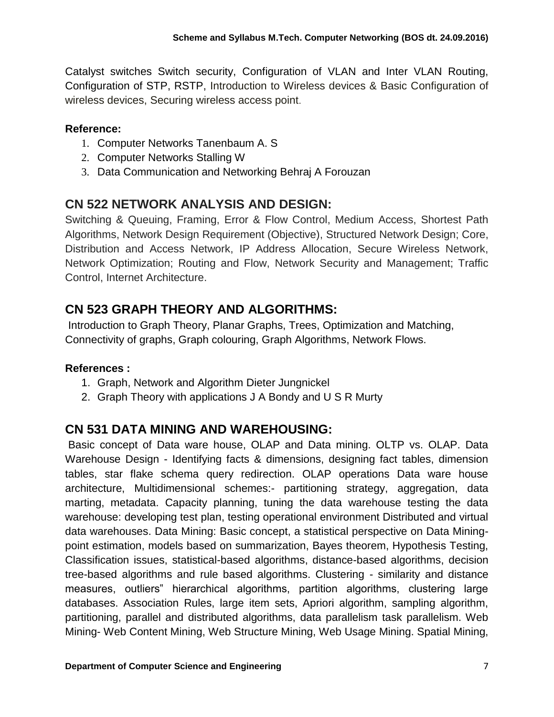Catalyst switches Switch security, Configuration of VLAN and Inter VLAN Routing, Configuration of STP, RSTP, Introduction to Wireless devices & Basic Configuration of wireless devices, Securing wireless access point.

### **Reference:**

- 1. Computer Networks Tanenbaum A. S
- 2. Computer Networks Stalling W
- 3. Data Communication and Networking Behraj A Forouzan

# **CN 522 NETWORK ANALYSIS AND DESIGN:**

Switching & Queuing, Framing, Error & Flow Control, Medium Access, Shortest Path Algorithms, Network Design Requirement (Objective), Structured Network Design; Core, Distribution and Access Network, IP Address Allocation, Secure Wireless Network, Network Optimization; Routing and Flow, Network Security and Management; Traffic Control, Internet Architecture.

# **CN 523 GRAPH THEORY AND ALGORITHMS:**

Introduction to Graph Theory, Planar Graphs, Trees, Optimization and Matching, Connectivity of graphs, Graph colouring, Graph Algorithms, Network Flows.

### **References :**

- 1. Graph, Network and Algorithm Dieter Jungnickel
- 2. Graph Theory with applications J A Bondy and U S R Murty

## **CN 531 DATA MINING AND WAREHOUSING:**

Basic concept of Data ware house, OLAP and Data mining. OLTP vs. OLAP. Data Warehouse Design - Identifying facts & dimensions, designing fact tables, dimension tables, star flake schema query redirection. OLAP operations Data ware house architecture, Multidimensional schemes:- partitioning strategy, aggregation, data marting, metadata. Capacity planning, tuning the data warehouse testing the data warehouse: developing test plan, testing operational environment Distributed and virtual data warehouses. Data Mining: Basic concept, a statistical perspective on Data Miningpoint estimation, models based on summarization, Bayes theorem, Hypothesis Testing, Classification issues, statistical-based algorithms, distance-based algorithms, decision tree-based algorithms and rule based algorithms. Clustering - similarity and distance measures, outliers" hierarchical algorithms, partition algorithms, clustering large databases. Association Rules, large item sets, Apriori algorithm, sampling algorithm, partitioning, parallel and distributed algorithms, data parallelism task parallelism. Web Mining- Web Content Mining, Web Structure Mining, Web Usage Mining. Spatial Mining,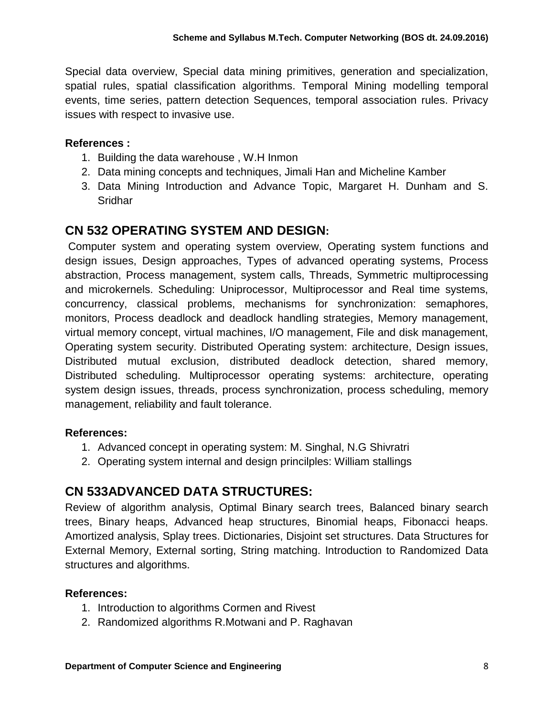Special data overview, Special data mining primitives, generation and specialization, spatial rules, spatial classification algorithms. Temporal Mining modelling temporal events, time series, pattern detection Sequences, temporal association rules. Privacy issues with respect to invasive use.

### **References :**

- 1. Building the data warehouse , W.H Inmon
- 2. Data mining concepts and techniques, Jimali Han and Micheline Kamber
- 3. Data Mining Introduction and Advance Topic, Margaret H. Dunham and S. Sridhar

### **CN 532 OPERATING SYSTEM AND DESIGN:**

Computer system and operating system overview, Operating system functions and design issues, Design approaches, Types of advanced operating systems, Process abstraction, Process management, system calls, Threads, Symmetric multiprocessing and microkernels. Scheduling: Uniprocessor, Multiprocessor and Real time systems, concurrency, classical problems, mechanisms for synchronization: semaphores, monitors, Process deadlock and deadlock handling strategies, Memory management, virtual memory concept, virtual machines, I/O management, File and disk management, Operating system security. Distributed Operating system: architecture, Design issues, Distributed mutual exclusion, distributed deadlock detection, shared memory, Distributed scheduling. Multiprocessor operating systems: architecture, operating system design issues, threads, process synchronization, process scheduling, memory management, reliability and fault tolerance.

#### **References:**

- 1. Advanced concept in operating system: M. Singhal, N.G Shivratri
- 2. Operating system internal and design princilples: William stallings

# **CN 533ADVANCED DATA STRUCTURES:**

Review of algorithm analysis, Optimal Binary search trees, Balanced binary search trees, Binary heaps, Advanced heap structures, Binomial heaps, Fibonacci heaps. Amortized analysis, Splay trees. Dictionaries, Disjoint set structures. Data Structures for External Memory, External sorting, String matching. Introduction to Randomized Data structures and algorithms.

- 1. Introduction to algorithms Cormen and Rivest
- 2. Randomized algorithms R.Motwani and P. Raghavan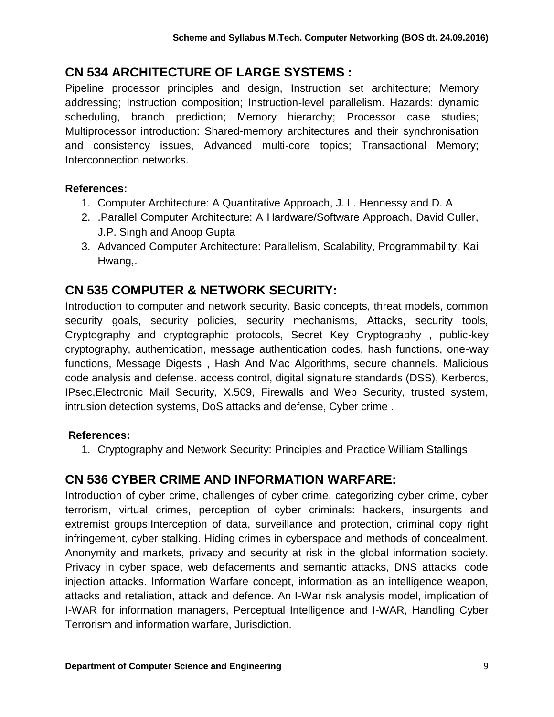# **CN 534 ARCHITECTURE OF LARGE SYSTEMS :**

Pipeline processor principles and design, Instruction set architecture; Memory addressing; Instruction composition; Instruction-level parallelism. Hazards: dynamic scheduling, branch prediction; Memory hierarchy; Processor case studies; Multiprocessor introduction: Shared-memory architectures and their synchronisation and consistency issues, Advanced multi-core topics; Transactional Memory; Interconnection networks.

### **References:**

- 1. Computer Architecture: A Quantitative Approach, J. L. Hennessy and D. A
- 2. .Parallel Computer Architecture: A Hardware/Software Approach, David Culler, J.P. Singh and Anoop Gupta
- 3. Advanced Computer Architecture: Parallelism, Scalability, Programmability, Kai Hwang,.

# **CN 535 COMPUTER & NETWORK SECURITY:**

Introduction to computer and network security. Basic concepts, threat models, common security goals, security policies, security mechanisms, Attacks, security tools, Cryptography and cryptographic protocols, Secret Key Cryptography , public-key cryptography, authentication, message authentication codes, hash functions, one-way functions, Message Digests , Hash And Mac Algorithms, secure channels. Malicious code analysis and defense. access control, digital signature standards (DSS), Kerberos, IPsec,Electronic Mail Security, X.509, Firewalls and Web Security, trusted system, intrusion detection systems, DoS attacks and defense, Cyber crime .

### **References:**

1. Cryptography and Network Security: Principles and Practice William Stallings

# **CN 536 CYBER CRIME AND INFORMATION WARFARE:**

Introduction of cyber crime, challenges of cyber crime, categorizing cyber crime, cyber terrorism, virtual crimes, perception of cyber criminals: hackers, insurgents and extremist groups, Interception of data, surveillance and protection, criminal copy right infringement, cyber stalking. Hiding crimes in cyberspace and methods of concealment. Anonymity and markets, privacy and security at risk in the global information society. Privacy in cyber space, web defacements and semantic attacks, DNS attacks, code injection attacks. Information Warfare concept, information as an intelligence weapon, attacks and retaliation, attack and defence. An I-War risk analysis model, implication of I-WAR for information managers, Perceptual Intelligence and I-WAR, Handling Cyber Terrorism and information warfare, Jurisdiction.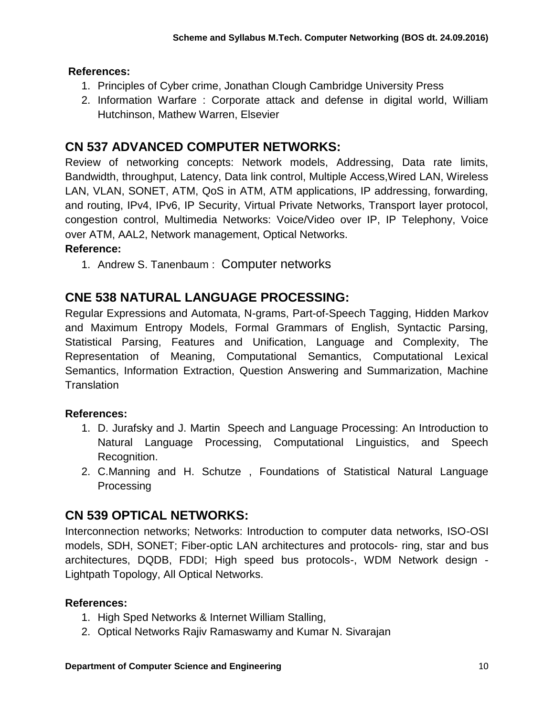### **References:**

- 1. Principles of Cyber crime, Jonathan Clough Cambridge University Press
- 2. Information Warfare : Corporate attack and defense in digital world, William Hutchinson, Mathew Warren, Elsevier

## **CN 537 ADVANCED COMPUTER NETWORKS:**

Review of networking concepts: Network models, Addressing, Data rate limits, Bandwidth, throughput, Latency, Data link control, Multiple Access,Wired LAN, Wireless LAN, VLAN, SONET, ATM, QoS in ATM, ATM applications, IP addressing, forwarding, and routing, IPv4, IPv6, IP Security, Virtual Private Networks, Transport layer protocol, congestion control, Multimedia Networks: Voice/Video over IP, IP Telephony, Voice over ATM, AAL2, Network management, Optical Networks.

### **Reference:**

1. Andrew S. Tanenbaum : Computer networks

# **CNE 538 NATURAL LANGUAGE PROCESSING:**

Regular Expressions and Automata, N-grams, Part-of-Speech Tagging, Hidden Markov and Maximum Entropy Models, Formal Grammars of English, Syntactic Parsing, Statistical Parsing, Features and Unification, Language and Complexity, The Representation of Meaning, Computational Semantics, Computational Lexical Semantics, Information Extraction, Question Answering and Summarization, Machine **Translation** 

### **References:**

- 1. D. Jurafsky and J. Martin Speech and Language Processing: An Introduction to Natural Language Processing, Computational Linguistics, and Speech Recognition.
- 2. C.Manning and H. Schutze , Foundations of Statistical Natural Language Processing

### **CN 539 OPTICAL NETWORKS:**

Interconnection networks; Networks: Introduction to computer data networks, ISO-OSI models, SDH, SONET; Fiber-optic LAN architectures and protocols- ring, star and bus architectures, DQDB, FDDI; High speed bus protocols-, WDM Network design - Lightpath Topology, All Optical Networks.

- 1. High Sped Networks & Internet William Stalling,
- 2. Optical Networks Rajiv Ramaswamy and Kumar N. Sivarajan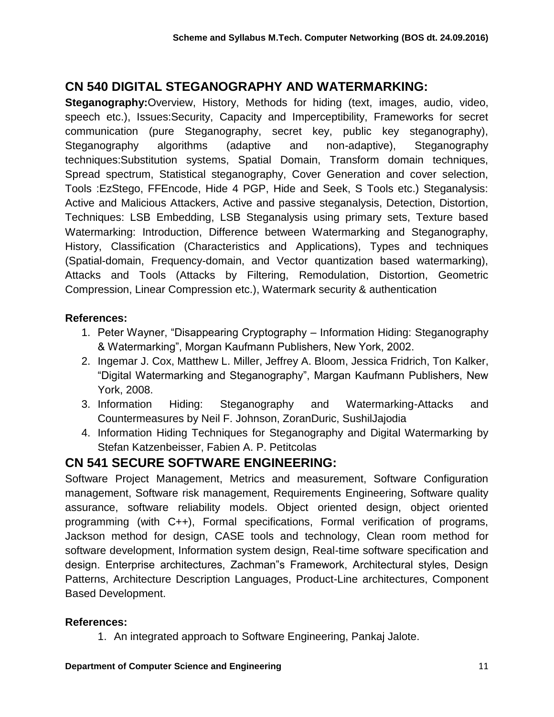# **CN 540 DIGITAL STEGANOGRAPHY AND WATERMARKING:**

**Steganography:**Overview, History, Methods for hiding (text, images, audio, video, speech etc.), Issues:Security, Capacity and Imperceptibility, Frameworks for secret communication (pure Steganography, secret key, public key steganography), Steganography algorithms (adaptive and non-adaptive), Steganography techniques:Substitution systems, Spatial Domain, Transform domain techniques, Spread spectrum, Statistical steganography, Cover Generation and cover selection, Tools :EzStego, FFEncode, Hide 4 PGP, Hide and Seek, S Tools etc.) Steganalysis: Active and Malicious Attackers, Active and passive steganalysis, Detection, Distortion, Techniques: LSB Embedding, LSB Steganalysis using primary sets, Texture based Watermarking: Introduction, Difference between Watermarking and Steganography, History, Classification (Characteristics and Applications), Types and techniques (Spatial-domain, Frequency-domain, and Vector quantization based watermarking), Attacks and Tools (Attacks by Filtering, Remodulation, Distortion, Geometric Compression, Linear Compression etc.), Watermark security & authentication

### **References:**

- 1. Peter Wayner, "Disappearing Cryptography Information Hiding: Steganography & Watermarking", Morgan Kaufmann Publishers, New York, 2002.
- 2. Ingemar J. Cox, Matthew L. Miller, Jeffrey A. Bloom, Jessica Fridrich, Ton Kalker, "Digital Watermarking and Steganography", Margan Kaufmann Publishers, New York, 2008.
- 3. Information Hiding: Steganography and Watermarking-Attacks and Countermeasures by Neil F. Johnson, ZoranDuric, SushilJajodia
- 4. Information Hiding Techniques for Steganography and Digital Watermarking by Stefan Katzenbeisser, Fabien A. P. Petitcolas

## **CN 541 SECURE SOFTWARE ENGINEERING:**

Software Project Management, Metrics and measurement, Software Configuration management, Software risk management, Requirements Engineering, Software quality assurance, software reliability models. Object oriented design, object oriented programming (with C++), Formal specifications, Formal verification of programs, Jackson method for design, CASE tools and technology, Clean room method for software development, Information system design, Real-time software specification and design. Enterprise architectures, Zachman"s Framework, Architectural styles, Design Patterns, Architecture Description Languages, Product-Line architectures, Component Based Development.

#### **References:**

1. An integrated approach to Software Engineering, Pankaj Jalote.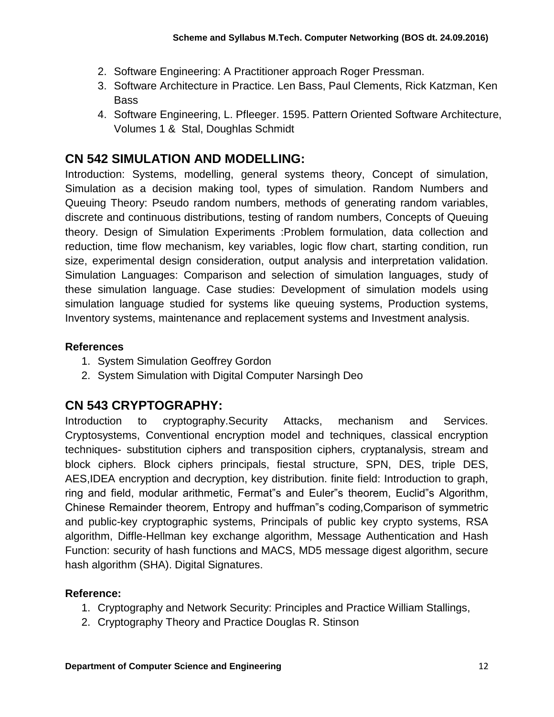- 2. Software Engineering: A Practitioner approach Roger Pressman.
- 3. Software Architecture in Practice. Len Bass, Paul Clements, Rick Katzman, Ken Bass
- 4. Software Engineering, L. Pfleeger. 1595. Pattern Oriented Software Architecture, Volumes 1 & Stal, Doughlas Schmidt

### **CN 542 SIMULATION AND MODELLING:**

Introduction: Systems, modelling, general systems theory, Concept of simulation, Simulation as a decision making tool, types of simulation. Random Numbers and Queuing Theory: Pseudo random numbers, methods of generating random variables, discrete and continuous distributions, testing of random numbers, Concepts of Queuing theory. Design of Simulation Experiments :Problem formulation, data collection and reduction, time flow mechanism, key variables, logic flow chart, starting condition, run size, experimental design consideration, output analysis and interpretation validation. Simulation Languages: Comparison and selection of simulation languages, study of these simulation language. Case studies: Development of simulation models using simulation language studied for systems like queuing systems, Production systems, Inventory systems, maintenance and replacement systems and Investment analysis.

#### **References**

- 1. System Simulation Geoffrey Gordon
- 2. System Simulation with Digital Computer Narsingh Deo

### **CN 543 CRYPTOGRAPHY:**

Introduction to cryptography.Security Attacks, mechanism and Services. Cryptosystems, Conventional encryption model and techniques, classical encryption techniques- substitution ciphers and transposition ciphers, cryptanalysis, stream and block ciphers. Block ciphers principals, fiestal structure, SPN, DES, triple DES, AES,IDEA encryption and decryption, key distribution. finite field: Introduction to graph, ring and field, modular arithmetic, Fermat"s and Euler"s theorem, Euclid"s Algorithm, Chinese Remainder theorem, Entropy and huffman"s coding,Comparison of symmetric and public-key cryptographic systems, Principals of public key crypto systems, RSA algorithm, Diffle-Hellman key exchange algorithm, Message Authentication and Hash Function: security of hash functions and MACS, MD5 message digest algorithm, secure hash algorithm (SHA). Digital Signatures.

- 1. Cryptography and Network Security: Principles and Practice William Stallings,
- 2. Cryptography Theory and Practice Douglas R. Stinson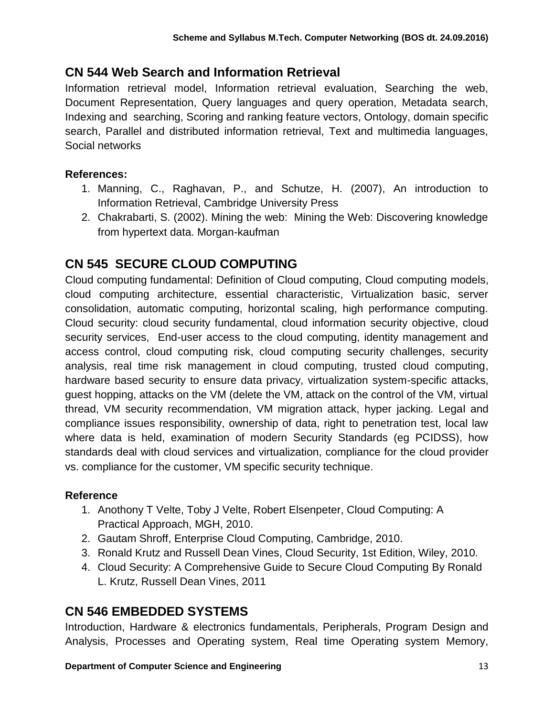## **CN 544 Web Search and Information Retrieval**

Information retrieval model, Information retrieval evaluation, Searching the web, Document Representation, Query languages and query operation, Metadata search, Indexing and searching, Scoring and ranking feature vectors, Ontology, domain specific search, Parallel and distributed information retrieval, Text and multimedia languages, Social networks

### **References:**

- 1. Manning, C., Raghavan, P., and Schutze, H. (2007), An introduction to Information Retrieval, Cambridge University Press
- 2. Chakrabarti, S. (2002). Mining the web: Mining the Web: Discovering knowledge from hypertext data. Morgan-kaufman

# **CN 545 SECURE CLOUD COMPUTING**

Cloud computing fundamental: Definition of Cloud computing, Cloud computing models, cloud computing architecture, essential characteristic, Virtualization basic, server consolidation, automatic computing, horizontal scaling, high performance computing. Cloud security: cloud security fundamental, cloud information security objective, cloud security services, End-user access to the cloud computing, identity management and access control, cloud computing risk, cloud computing security challenges, security analysis, real time risk management in cloud computing, trusted cloud computing, hardware based security to ensure data privacy, virtualization system-specific attacks, guest hopping, attacks on the VM (delete the VM, attack on the control of the VM, virtual thread, VM security recommendation, VM migration attack, hyper jacking. Legal and compliance issues responsibility, ownership of data, right to penetration test, local law where data is held, examination of modern Security Standards (eg PCIDSS), how standards deal with cloud services and virtualization, compliance for the cloud provider vs. compliance for the customer, VM specific security technique.

### **Reference**

- 1. Anothony T Velte, Toby J Velte, Robert Elsenpeter, Cloud Computing: A Practical Approach, MGH, 2010.
- 2. Gautam Shroff, Enterprise Cloud Computing, Cambridge, 2010.
- 3. Ronald Krutz and Russell Dean Vines, Cloud Security, 1st Edition, Wiley, 2010.
- 4. Cloud Security: A Comprehensive Guide to Secure Cloud Computing By Ronald L. Krutz, Russell Dean Vines, 2011

# **CN 546 EMBEDDED SYSTEMS**

Introduction, Hardware & electronics fundamentals, Peripherals, Program Design and Analysis, Processes and Operating system, Real time Operating system Memory,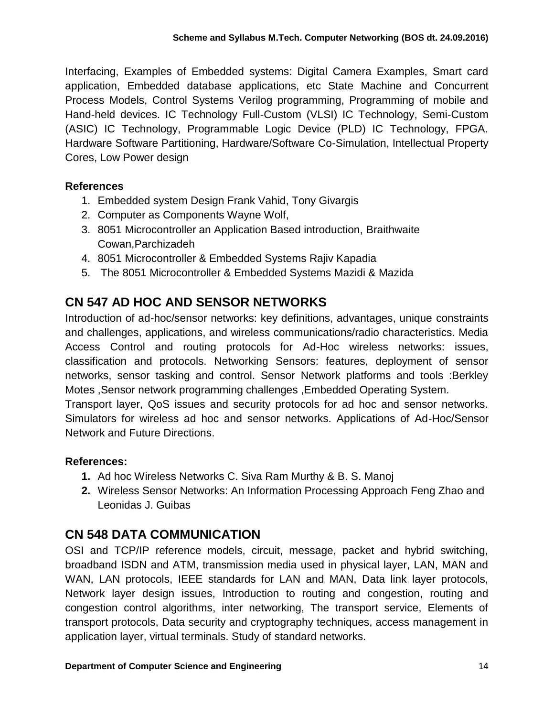Interfacing, Examples of Embedded systems: Digital Camera Examples, Smart card application, Embedded database applications, etc State Machine and Concurrent Process Models, Control Systems Verilog programming, Programming of mobile and Hand-held devices. IC Technology Full-Custom (VLSI) IC Technology, Semi-Custom (ASIC) IC Technology, Programmable Logic Device (PLD) IC Technology, FPGA. Hardware Software Partitioning, Hardware/Software Co-Simulation, Intellectual Property Cores, Low Power design

#### **References**

- 1. Embedded system Design Frank Vahid, Tony Givargis
- 2. Computer as Components Wayne Wolf,
- 3. 8051 Microcontroller an Application Based introduction, Braithwaite Cowan,Parchizadeh
- 4. 8051 Microcontroller & Embedded Systems Rajiv Kapadia
- 5. The 8051 Microcontroller & Embedded Systems Mazidi & Mazida

## **CN 547 AD HOC AND SENSOR NETWORKS**

Introduction of ad-hoc/sensor networks: key definitions, advantages, unique constraints and challenges, applications, and wireless communications/radio characteristics. Media Access Control and routing protocols for Ad-Hoc wireless networks: issues, classification and protocols. Networking Sensors: features, deployment of sensor networks, sensor tasking and control. Sensor Network platforms and tools :Berkley Motes ,Sensor network programming challenges ,Embedded Operating System.

Transport layer, QoS issues and security protocols for ad hoc and sensor networks. Simulators for wireless ad hoc and sensor networks. Applications of Ad-Hoc/Sensor Network and Future Directions.

#### **References:**

- **1.** Ad hoc Wireless Networks C. Siva Ram Murthy & B. S. Manoj
- **2.** Wireless Sensor Networks: An Information Processing Approach Feng Zhao and Leonidas J. Guibas

## **CN 548 DATA COMMUNICATION**

OSI and TCP/IP reference models, circuit, message, packet and hybrid switching, broadband ISDN and ATM, transmission media used in physical layer, LAN, MAN and WAN, LAN protocols, IEEE standards for LAN and MAN, Data link layer protocols, Network layer design issues, Introduction to routing and congestion, routing and congestion control algorithms, inter networking, The transport service, Elements of transport protocols, Data security and cryptography techniques, access management in application layer, virtual terminals. Study of standard networks.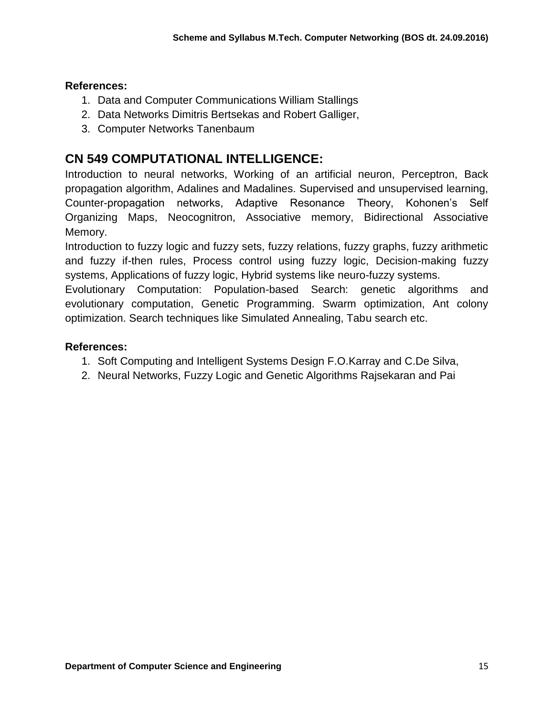#### **References:**

- 1. Data and Computer Communications William Stallings
- 2. Data Networks Dimitris Bertsekas and Robert Galliger,
- 3. Computer Networks Tanenbaum

### **CN 549 COMPUTATIONAL INTELLIGENCE:**

Introduction to neural networks, Working of an artificial neuron, Perceptron, Back propagation algorithm, Adalines and Madalines. Supervised and unsupervised learning, Counter-propagation networks, Adaptive Resonance Theory, Kohonen's Self Organizing Maps, Neocognitron, Associative memory, Bidirectional Associative Memory.

Introduction to fuzzy logic and fuzzy sets, fuzzy relations, fuzzy graphs, fuzzy arithmetic and fuzzy if-then rules, Process control using fuzzy logic, Decision-making fuzzy systems, Applications of fuzzy logic, Hybrid systems like neuro-fuzzy systems.

Evolutionary Computation: Population-based Search: genetic algorithms and evolutionary computation, Genetic Programming. Swarm optimization, Ant colony optimization. Search techniques like Simulated Annealing, Tabu search etc.

- 1. Soft Computing and Intelligent Systems Design F.O.Karray and C.De Silva,
- 2. Neural Networks, Fuzzy Logic and Genetic Algorithms Rajsekaran and Pai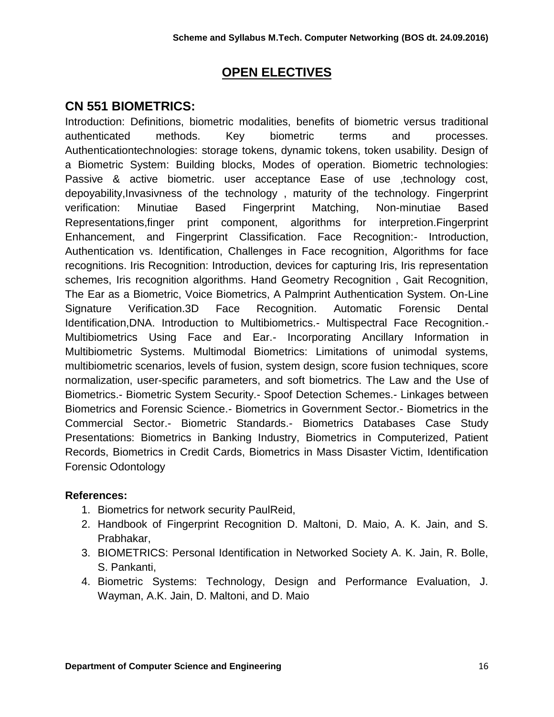### **OPEN ELECTIVES**

### **CN 551 BIOMETRICS:**

Introduction: Definitions, biometric modalities, benefits of biometric versus traditional authenticated methods. Key biometric terms and processes. Authenticationtechnologies: storage tokens, dynamic tokens, token usability. Design of a Biometric System: Building blocks, Modes of operation. Biometric technologies: Passive & active biometric. user acceptance Ease of use technology cost, depoyability,Invasivness of the technology , maturity of the technology. Fingerprint verification: Minutiae Based Fingerprint Matching, Non-minutiae Based Representations,finger print component, algorithms for interpretion.Fingerprint Enhancement, and Fingerprint Classification. Face Recognition:- Introduction, Authentication vs. Identification, Challenges in Face recognition, Algorithms for face recognitions. Iris Recognition: Introduction, devices for capturing Iris, Iris representation schemes, Iris recognition algorithms. Hand Geometry Recognition , Gait Recognition, The Ear as a Biometric, Voice Biometrics, A Palmprint Authentication System. On-Line Signature Verification.3D Face Recognition. Automatic Forensic Dental Identification,DNA. Introduction to Multibiometrics.- Multispectral Face Recognition.- Multibiometrics Using Face and Ear.- Incorporating Ancillary Information in Multibiometric Systems. Multimodal Biometrics: Limitations of unimodal systems, multibiometric scenarios, levels of fusion, system design, score fusion techniques, score normalization, user-specific parameters, and soft biometrics. The Law and the Use of Biometrics.- Biometric System Security.- Spoof Detection Schemes.- Linkages between Biometrics and Forensic Science.- Biometrics in Government Sector.- Biometrics in the Commercial Sector.- Biometric Standards.- Biometrics Databases Case Study Presentations: Biometrics in Banking Industry, Biometrics in Computerized, Patient Records, Biometrics in Credit Cards, Biometrics in Mass Disaster Victim, Identification Forensic Odontology

- 1. Biometrics for network security PaulReid,
- 2. Handbook of Fingerprint Recognition D. Maltoni, D. Maio, A. K. Jain, and S. Prabhakar,
- 3. BIOMETRICS: Personal Identification in Networked Society A. K. Jain, R. Bolle, S. Pankanti,
- 4. Biometric Systems: Technology, Design and Performance Evaluation, J. Wayman, A.K. Jain, D. Maltoni, and D. Maio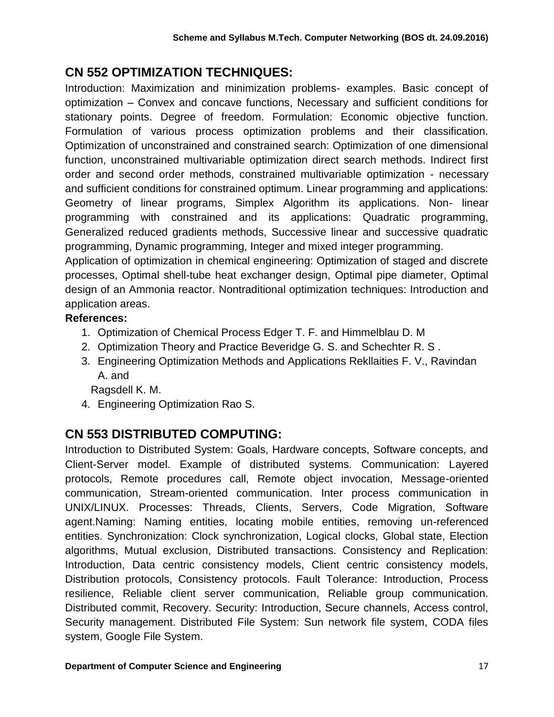# **CN 552 OPTIMIZATION TECHNIQUES:**

Introduction: Maximization and minimization problems- examples. Basic concept of optimization – Convex and concave functions, Necessary and sufficient conditions for stationary points. Degree of freedom. Formulation: Economic objective function. Formulation of various process optimization problems and their classification. Optimization of unconstrained and constrained search: Optimization of one dimensional function, unconstrained multivariable optimization direct search methods. Indirect first order and second order methods, constrained multivariable optimization - necessary and sufficient conditions for constrained optimum. Linear programming and applications: Geometry of linear programs, Simplex Algorithm its applications. Non- linear programming with constrained and its applications: Quadratic programming, Generalized reduced gradients methods, Successive linear and successive quadratic programming, Dynamic programming, Integer and mixed integer programming.

Application of optimization in chemical engineering: Optimization of staged and discrete processes, Optimal shell-tube heat exchanger design, Optimal pipe diameter, Optimal design of an Ammonia reactor. Nontraditional optimization techniques: Introduction and application areas.

### **References:**

- 1. Optimization of Chemical Process Edger T. F. and Himmelblau D. M
- 2. Optimization Theory and Practice Beveridge G. S. and Schechter R. S .
- 3. Engineering Optimization Methods and Applications Rekllaities F. V., Ravindan A. and

Ragsdell K. M.

4. Engineering Optimization Rao S.

# **CN 553 DISTRIBUTED COMPUTING:**

Introduction to Distributed System: Goals, Hardware concepts, Software concepts, and Client-Server model. Example of distributed systems. Communication: Layered protocols, Remote procedures call, Remote object invocation, Message-oriented communication, Stream-oriented communication. Inter process communication in UNIX/LINUX. Processes: Threads, Clients, Servers, Code Migration, Software agent.Naming: Naming entities, locating mobile entities, removing un-referenced entities. Synchronization: Clock synchronization, Logical clocks, Global state, Election algorithms, Mutual exclusion, Distributed transactions. Consistency and Replication: Introduction, Data centric consistency models, Client centric consistency models, Distribution protocols, Consistency protocols. Fault Tolerance: Introduction, Process resilience, Reliable client server communication, Reliable group communication. Distributed commit, Recovery. Security: Introduction, Secure channels, Access control, Security management. Distributed File System: Sun network file system, CODA files system, Google File System.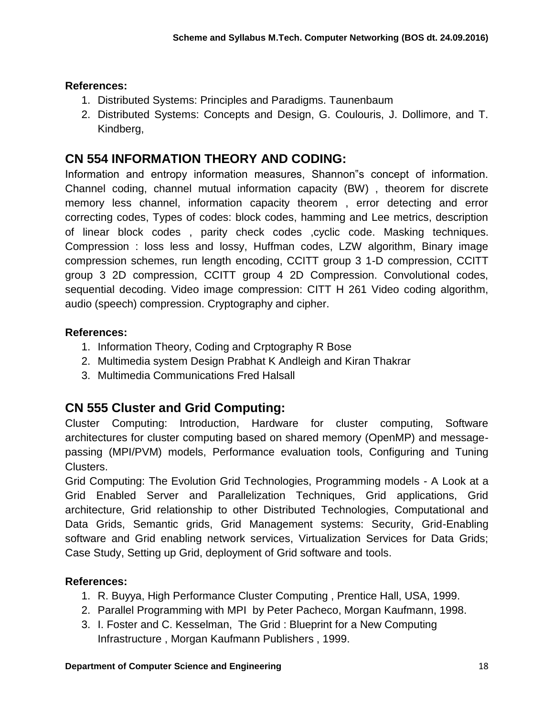### **References:**

- 1. Distributed Systems: Principles and Paradigms. Taunenbaum
- 2. Distributed Systems: Concepts and Design, G. Coulouris, J. Dollimore, and T. Kindberg,

## **CN 554 INFORMATION THEORY AND CODING:**

Information and entropy information measures, Shannon"s concept of information. Channel coding, channel mutual information capacity (BW) , theorem for discrete memory less channel, information capacity theorem , error detecting and error correcting codes, Types of codes: block codes, hamming and Lee metrics, description of linear block codes , parity check codes ,cyclic code. Masking techniques. Compression : loss less and lossy, Huffman codes, LZW algorithm, Binary image compression schemes, run length encoding, CCITT group 3 1-D compression, CCITT group 3 2D compression, CCITT group 4 2D Compression. Convolutional codes, sequential decoding. Video image compression: CITT H 261 Video coding algorithm, audio (speech) compression. Cryptography and cipher.

### **References:**

- 1. Information Theory, Coding and Crptography R Bose
- 2. Multimedia system Design Prabhat K Andleigh and Kiran Thakrar
- 3. Multimedia Communications Fred Halsall

# **CN 555 Cluster and Grid Computing:**

Cluster Computing: Introduction, Hardware for cluster computing, Software architectures for cluster computing based on shared memory (OpenMP) and messagepassing (MPI/PVM) models, Performance evaluation tools, Configuring and Tuning Clusters.

Grid Computing: The Evolution Grid Technologies, Programming models - A Look at a Grid Enabled Server and Parallelization Techniques, Grid applications, Grid architecture, Grid relationship to other Distributed Technologies, Computational and Data Grids, Semantic grids, Grid Management systems: Security, Grid-Enabling software and Grid enabling network services, Virtualization Services for Data Grids; Case Study, Setting up Grid, deployment of Grid software and tools.

- 1. R. Buyya, High Performance Cluster Computing , Prentice Hall, USA, 1999.
- 2. Parallel Programming with MPI by Peter Pacheco, Morgan Kaufmann, 1998.
- 3. I. Foster and C. Kesselman, The Grid : Blueprint for a New Computing Infrastructure , Morgan Kaufmann Publishers , 1999.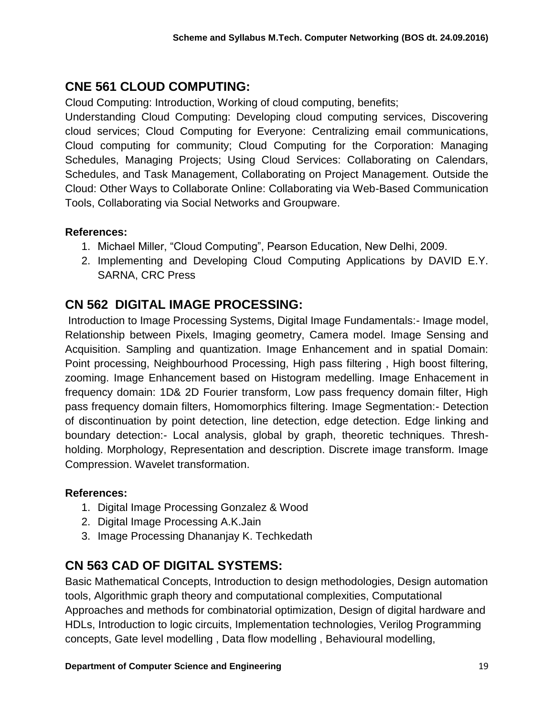## **CNE 561 CLOUD COMPUTING:**

Cloud Computing: Introduction, Working of cloud computing, benefits;

Understanding Cloud Computing: Developing cloud computing services, Discovering cloud services; Cloud Computing for Everyone: Centralizing email communications, Cloud computing for community; Cloud Computing for the Corporation: Managing Schedules, Managing Projects; Using Cloud Services: Collaborating on Calendars, Schedules, and Task Management, Collaborating on Project Management. Outside the Cloud: Other Ways to Collaborate Online: Collaborating via Web-Based Communication Tools, Collaborating via Social Networks and Groupware.

#### **References:**

- 1. Michael Miller, "Cloud Computing", Pearson Education, New Delhi, 2009.
- 2. Implementing and Developing Cloud Computing Applications by DAVID E.Y. SARNA, CRC Press

### **CN 562 DIGITAL IMAGE PROCESSING:**

Introduction to Image Processing Systems, Digital Image Fundamentals:- Image model, Relationship between Pixels, Imaging geometry, Camera model. Image Sensing and Acquisition. Sampling and quantization. Image Enhancement and in spatial Domain: Point processing, Neighbourhood Processing, High pass filtering , High boost filtering, zooming. Image Enhancement based on Histogram medelling. Image Enhacement in frequency domain: 1D& 2D Fourier transform, Low pass frequency domain filter, High pass frequency domain filters, Homomorphics filtering. Image Segmentation:- Detection of discontinuation by point detection, line detection, edge detection. Edge linking and boundary detection:- Local analysis, global by graph, theoretic techniques. Threshholding. Morphology, Representation and description. Discrete image transform. Image Compression. Wavelet transformation.

#### **References:**

- 1. Digital Image Processing Gonzalez & Wood
- 2. Digital Image Processing A.K.Jain
- 3. Image Processing Dhananjay K. Techkedath

### **CN 563 CAD OF DIGITAL SYSTEMS:**

Basic Mathematical Concepts, Introduction to design methodologies, Design automation tools, Algorithmic graph theory and computational complexities, Computational Approaches and methods for combinatorial optimization, Design of digital hardware and HDLs, Introduction to logic circuits, Implementation technologies, Verilog Programming concepts, Gate level modelling , Data flow modelling , Behavioural modelling,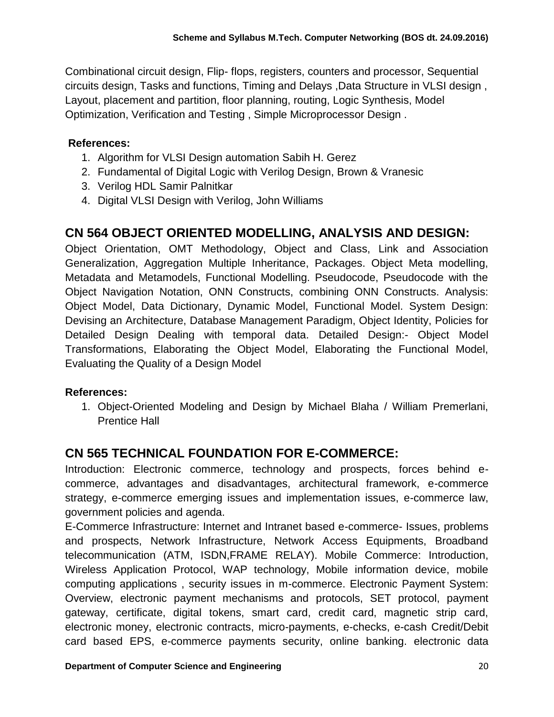Combinational circuit design, Flip- flops, registers, counters and processor, Sequential circuits design, Tasks and functions, Timing and Delays ,Data Structure in VLSI design , Layout, placement and partition, floor planning, routing, Logic Synthesis, Model Optimization, Verification and Testing , Simple Microprocessor Design .

### **References:**

- 1. Algorithm for VLSI Design automation Sabih H. Gerez
- 2. Fundamental of Digital Logic with Verilog Design, Brown & Vranesic
- 3. Verilog HDL Samir Palnitkar
- 4. Digital VLSI Design with Verilog, John Williams

## **CN 564 OBJECT ORIENTED MODELLING, ANALYSIS AND DESIGN:**

Object Orientation, OMT Methodology, Object and Class, Link and Association Generalization, Aggregation Multiple Inheritance, Packages. Object Meta modelling, Metadata and Metamodels, Functional Modelling. Pseudocode, Pseudocode with the Object Navigation Notation, ONN Constructs, combining ONN Constructs. Analysis: Object Model, Data Dictionary, Dynamic Model, Functional Model. System Design: Devising an Architecture, Database Management Paradigm, Object Identity, Policies for Detailed Design Dealing with temporal data. Detailed Design:- Object Model Transformations, Elaborating the Object Model, Elaborating the Functional Model, Evaluating the Quality of a Design Model

#### **References:**

1. Object-Oriented Modeling and Design by Michael Blaha / William Premerlani, Prentice Hall

## **CN 565 TECHNICAL FOUNDATION FOR E-COMMERCE:**

Introduction: Electronic commerce, technology and prospects, forces behind ecommerce, advantages and disadvantages, architectural framework, e-commerce strategy, e-commerce emerging issues and implementation issues, e-commerce law, government policies and agenda.

E-Commerce Infrastructure: Internet and Intranet based e-commerce- Issues, problems and prospects, Network Infrastructure, Network Access Equipments, Broadband telecommunication (ATM, ISDN,FRAME RELAY). Mobile Commerce: Introduction, Wireless Application Protocol, WAP technology, Mobile information device, mobile computing applications , security issues in m-commerce. Electronic Payment System: Overview, electronic payment mechanisms and protocols, SET protocol, payment gateway, certificate, digital tokens, smart card, credit card, magnetic strip card, electronic money, electronic contracts, micro-payments, e-checks, e-cash Credit/Debit card based EPS, e-commerce payments security, online banking. electronic data